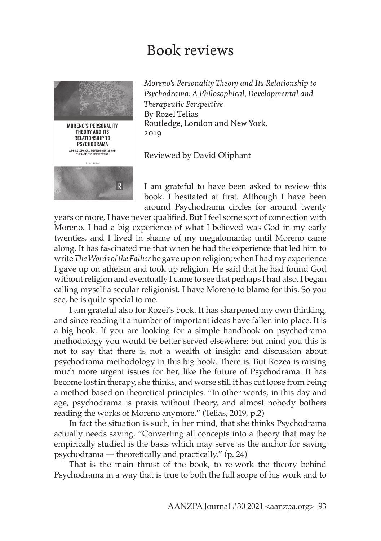## Book reviews



*Moreno's Personality Theory and Its Relationship to Psychodrama: A Philosophical, Developmental and Therapeutic Perspective* By Rozel Telias Routledge, London and New York. 2019

Reviewed by David Oliphant

I am grateful to have been asked to review this book. I hesitated at first. Although I have been around Psychodrama circles for around twenty

years or more, I have never qualified. But I feel some sort of connection with Moreno. I had a big experience of what I believed was God in my early twenties, and I lived in shame of my megalomania; until Moreno came along. It has fascinated me that when he had the experience that led him to write *The Words of the Father* he gave up on religion; when I had my experience I gave up on atheism and took up religion. He said that he had found God without religion and eventually I came to see that perhaps I had also. I began calling myself a secular religionist. I have Moreno to blame for this. So you see, he is quite special to me.

I am grateful also for Rozei's book. It has sharpened my own thinking, and since reading it a number of important ideas have fallen into place. It is a big book. If you are looking for a simple handbook on psychodrama methodology you would be better served elsewhere; but mind you this is not to say that there is not a wealth of insight and discussion about psychodrama methodology in this big book. There is. But Rozea is raising much more urgent issues for her, like the future of Psychodrama. It has become lost in therapy, she thinks, and worse still it has cut loose from being a method based on theoretical principles. "In other words, in this day and age, psychodrama is praxis without theory, and almost nobody bothers reading the works of Moreno anymore." (Telias, 2019, p.2)

In fact the situation is such, in her mind, that she thinks Psychodrama actually needs saving. "Converting all concepts into a theory that may be empirically studied is the basis which may serve as the anchor for saving psychodrama — theoretically and practically." (p. 24)

That is the main thrust of the book, to re-work the theory behind Psychodrama in a way that is true to both the full scope of his work and to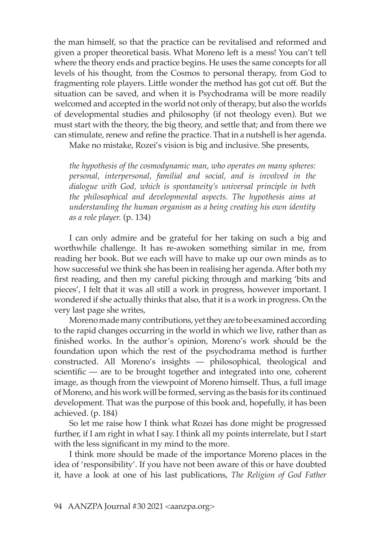the man himself, so that the practice can be revitalised and reformed and given a proper theoretical basis. What Moreno left is a mess! You can't tell where the theory ends and practice begins. He uses the same concepts for all levels of his thought, from the Cosmos to personal therapy, from God to fragmenting role players. Little wonder the method has got cut off. But the situation can be saved, and when it is Psychodrama will be more readily welcomed and accepted in the world not only of therapy, but also the worlds of developmental studies and philosophy (if not theology even). But we must start with the theory, the big theory, and settle that; and from there we can stimulate, renew and refine the practice. That in a nutshell is her agenda.

Make no mistake, Rozei's vision is big and inclusive. She presents,

*the hypothesis of the cosmodynamic man, who operates on many spheres: personal, interpersonal, familial and social, and is involved in the dialogue with God, which is spontaneity's universal principle in both the philosophical and developmental aspects. The hypothesis aims at understanding the human organism as a being creating his own identity as a role player.* (p. 134)

I can only admire and be grateful for her taking on such a big and worthwhile challenge. It has re-awoken something similar in me, from reading her book. But we each will have to make up our own minds as to how successful we think she has been in realising her agenda. After both my first reading, and then my careful picking through and marking 'bits and pieces', I felt that it was all still a work in progress, however important. I wondered if she actually thinks that also, that it is a work in progress. On the very last page she writes,

Moreno made many contributions, yet they are to be examined according to the rapid changes occurring in the world in which we live, rather than as finished works. In the author's opinion, Moreno's work should be the foundation upon which the rest of the psychodrama method is further constructed. All Moreno's insights — philosophical, theological and scientific — are to be brought together and integrated into one, coherent image, as though from the viewpoint of Moreno himself. Thus, a full image of Moreno, and his work will be formed, serving as the basis for its continued development. That was the purpose of this book and, hopefully, it has been achieved. (p. 184)

So let me raise how I think what Rozei has done might be progressed further, if I am right in what I say. I think all my points interrelate, but I start with the less significant in my mind to the more.

I think more should be made of the importance Moreno places in the idea of 'responsibility'. If you have not been aware of this or have doubted it, have a look at one of his last publications, *The Religion of God Father*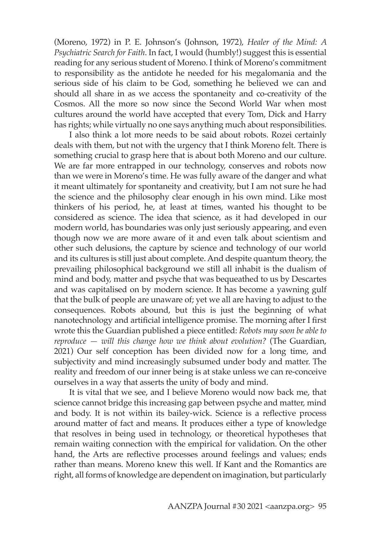(Moreno, 1972) in P. E. Johnson's (Johnson, 1972), *Healer of the Mind: A Psychiatric Search for Faith*. In fact, I would (humbly!) suggest this is essential reading for any serious student of Moreno. I think of Moreno's commitment to responsibility as the antidote he needed for his megalomania and the serious side of his claim to be God, something he believed we can and should all share in as we access the spontaneity and co-creativity of the Cosmos. All the more so now since the Second World War when most cultures around the world have accepted that every Tom, Dick and Harry has rights; while virtually no one says anything much about responsibilities.

I also think a lot more needs to be said about robots. Rozei certainly deals with them, but not with the urgency that I think Moreno felt. There is something crucial to grasp here that is about both Moreno and our culture. We are far more entrapped in our technology, conserves and robots now than we were in Moreno's time. He was fully aware of the danger and what it meant ultimately for spontaneity and creativity, but I am not sure he had the science and the philosophy clear enough in his own mind. Like most thinkers of his period, he, at least at times, wanted his thought to be considered as science. The idea that science, as it had developed in our modern world, has boundaries was only just seriously appearing, and even though now we are more aware of it and even talk about scientism and other such delusions, the capture by science and technology of our world and its cultures is still just about complete. And despite quantum theory, the prevailing philosophical background we still all inhabit is the dualism of mind and body, matter and psyche that was bequeathed to us by Descartes and was capitalised on by modern science. It has become a yawning gulf that the bulk of people are unaware of; yet we all are having to adjust to the consequences. Robots abound, but this is just the beginning of what nanotechnology and artificial intelligence promise. The morning after I first wrote this the Guardian published a piece entitled: *Robots may soon be able to reproduce — will this change how we think about evolution?* (The Guardian, 2021) Our self conception has been divided now for a long time, and subjectivity and mind increasingly subsumed under body and matter. The reality and freedom of our inner being is at stake unless we can re-conceive ourselves in a way that asserts the unity of body and mind.

It is vital that we see, and I believe Moreno would now back me, that science cannot bridge this increasing gap between psyche and matter, mind and body. It is not within its bailey-wick. Science is a reflective process around matter of fact and means. It produces either a type of knowledge that resolves in being used in technology, or theoretical hypotheses that remain waiting connection with the empirical for validation. On the other hand, the Arts are reflective processes around feelings and values; ends rather than means. Moreno knew this well. If Kant and the Romantics are right, all forms of knowledge are dependent on imagination, but particularly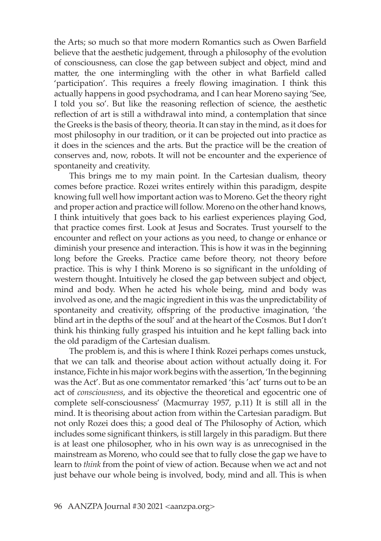the Arts; so much so that more modern Romantics such as Owen Barfield believe that the aesthetic judgement, through a philosophy of the evolution of consciousness, can close the gap between subject and object, mind and matter, the one intermingling with the other in what Barfield called 'participation'. This requires a freely flowing imagination. I think this actually happens in good psychodrama, and I can hear Moreno saying 'See, I told you so'. But like the reasoning reflection of science, the aesthetic reflection of art is still a withdrawal into mind, a contemplation that since the Greeks is the basis of theory, theoria. It can stay in the mind, as it does for most philosophy in our tradition, or it can be projected out into practice as it does in the sciences and the arts. But the practice will be the creation of conserves and, now, robots. It will not be encounter and the experience of spontaneity and creativity.

This brings me to my main point. In the Cartesian dualism, theory comes before practice. Rozei writes entirely within this paradigm, despite knowing full well how important action was to Moreno. Get the theory right and proper action and practice will follow. Moreno on the other hand knows, I think intuitively that goes back to his earliest experiences playing God, that practice comes first. Look at Jesus and Socrates. Trust yourself to the encounter and reflect on your actions as you need, to change or enhance or diminish your presence and interaction. This is how it was in the beginning long before the Greeks. Practice came before theory, not theory before practice. This is why I think Moreno is so significant in the unfolding of western thought. Intuitively he closed the gap between subject and object, mind and body. When he acted his whole being, mind and body was involved as one, and the magic ingredient in this was the unpredictability of spontaneity and creativity, offspring of the productive imagination, 'the blind art in the depths of the soul' and at the heart of the Cosmos. But I don't think his thinking fully grasped his intuition and he kept falling back into the old paradigm of the Cartesian dualism.

The problem is, and this is where I think Rozei perhaps comes unstuck, that we can talk and theorise about action without actually doing it. For instance, Fichte in his major work begins with the assertion, 'In the beginning was the Act'. But as one commentator remarked 'this 'act' turns out to be an act of *consciousness*, and its objective the theoretical and egocentric one of complete self-consciousness' (Macmurray 1957, p.11) It is still all in the mind. It is theorising about action from within the Cartesian paradigm. But not only Rozei does this; a good deal of The Philosophy of Action, which includes some significant thinkers, is still largely in this paradigm. But there is at least one philosopher, who in his own way is as unrecognised in the mainstream as Moreno, who could see that to fully close the gap we have to learn to *think* from the point of view of action. Because when we act and not just behave our whole being is involved, body, mind and all. This is when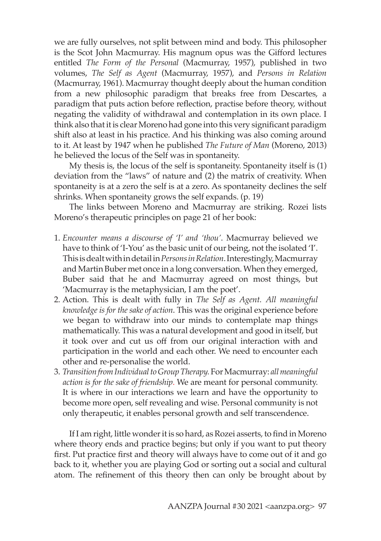we are fully ourselves, not split between mind and body. This philosopher is the Scot John Macmurray. His magnum opus was the Gifford lectures entitled *The Form of the Personal* (Macmurray, 1957), published in two volumes, *The Self as Agent* (Macmurray, 1957), and *Persons in Relation*  (Macmurray, 1961). Macmurray thought deeply about the human condition from a new philosophic paradigm that breaks free from Descartes, a paradigm that puts action before reflection, practise before theory, without negating the validity of withdrawal and contemplation in its own place. I think also that it is clear Moreno had gone into this very significant paradigm shift also at least in his practice. And his thinking was also coming around to it. At least by 1947 when he published *The Future of Man* (Moreno, 2013) he believed the locus of the Self was in spontaneity.

My thesis is, the locus of the self is spontaneity. Spontaneity itself is (1) deviation from the "laws" of nature and (2) the matrix of creativity. When spontaneity is at a zero the self is at a zero. As spontaneity declines the self shrinks. When spontaneity grows the self expands. (p. 19)

The links between Moreno and Macmurray are striking. Rozei lists Moreno's therapeutic principles on page 21 of her book:

- 1. *Encounter means a discourse of 'I' and 'thou'*. Macmurray believed we have to think of 'I-You' as the basic unit of our being, not the isolated 'I'. This is dealt with in detail in *Persons in Relation*. Interestingly, Macmurray and Martin Buber met once in a long conversation. When they emerged, Buber said that he and Macmurray agreed on most things, but 'Macmurray is the metaphysician, I am the poet'.
- 2. Action. This is dealt with fully in *The Self as Agent. All meaningful knowledge is for the sake of action*. This was the original experience before we began to withdraw into our minds to contemplate map things mathematically. This was a natural development and good in itself, but it took over and cut us off from our original interaction with and participation in the world and each other. We need to encounter each other and re-personalise the world.
- 3. *Transition from Individual to Group Therapy.* For Macmurray: *all meaningful action is for the sake of friendship*. We are meant for personal community. It is where in our interactions we learn and have the opportunity to become more open, self revealing and wise. Personal community is not only therapeutic, it enables personal growth and self transcendence.

If I am right, little wonder it is so hard, as Rozei asserts, to find in Moreno where theory ends and practice begins; but only if you want to put theory first. Put practice first and theory will always have to come out of it and go back to it, whether you are playing God or sorting out a social and cultural atom. The refinement of this theory then can only be brought about by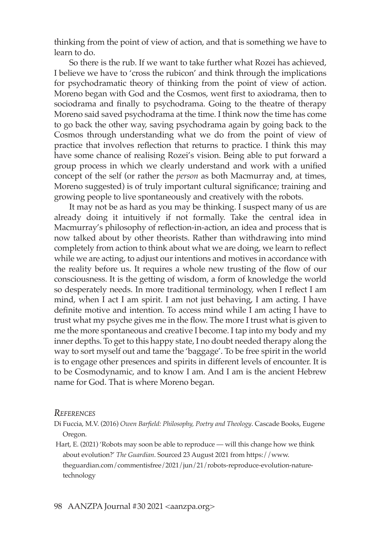thinking from the point of view of action, and that is something we have to learn to do.

So there is the rub. If we want to take further what Rozei has achieved, I believe we have to 'cross the rubicon' and think through the implications for psychodramatic theory of thinking from the point of view of action. Moreno began with God and the Cosmos, went first to axiodrama, then to sociodrama and finally to psychodrama. Going to the theatre of therapy Moreno said saved psychodrama at the time. I think now the time has come to go back the other way, saving psychodrama again by going back to the Cosmos through understanding what we do from the point of view of practice that involves reflection that returns to practice. I think this may have some chance of realising Rozei's vision. Being able to put forward a group process in which we clearly understand and work with a unified concept of the self (or rather the *person* as both Macmurray and, at times, Moreno suggested) is of truly important cultural significance; training and growing people to live spontaneously and creatively with the robots.

It may not be as hard as you may be thinking. I suspect many of us are already doing it intuitively if not formally. Take the central idea in Macmurray's philosophy of reflection-in-action, an idea and process that is now talked about by other theorists. Rather than withdrawing into mind completely from action to think about what we are doing, we learn to reflect while we are acting, to adjust our intentions and motives in accordance with the reality before us. It requires a whole new trusting of the flow of our consciousness. It is the getting of wisdom, a form of knowledge the world so desperately needs. In more traditional terminology, when I reflect I am mind, when I act I am spirit. I am not just behaving, I am acting. I have definite motive and intention. To access mind while I am acting I have to trust what my psyche gives me in the flow. The more I trust what is given to me the more spontaneous and creative I become. I tap into my body and my inner depths. To get to this happy state, I no doubt needed therapy along the way to sort myself out and tame the 'baggage'. To be free spirit in the world is to engage other presences and spirits in different levels of encounter. It is to be Cosmodynamic, and to know I am. And I am is the ancient Hebrew name for God. That is where Moreno began.

## *References*

Di Fuccia, M.V. (2016) *Owen Barfield: Philosophy, Poetry and Theology*. Cascade Books, Eugene Oregon.

 Hart, E. (2021) 'Robots may soon be able to reproduce — will this change how we think about evolution?' *The Guardian*. Sourced 23 August 2021 from https://www. theguardian.com/commentisfree/2021/jun/21/robots-reproduce-evolution-naturetechnology